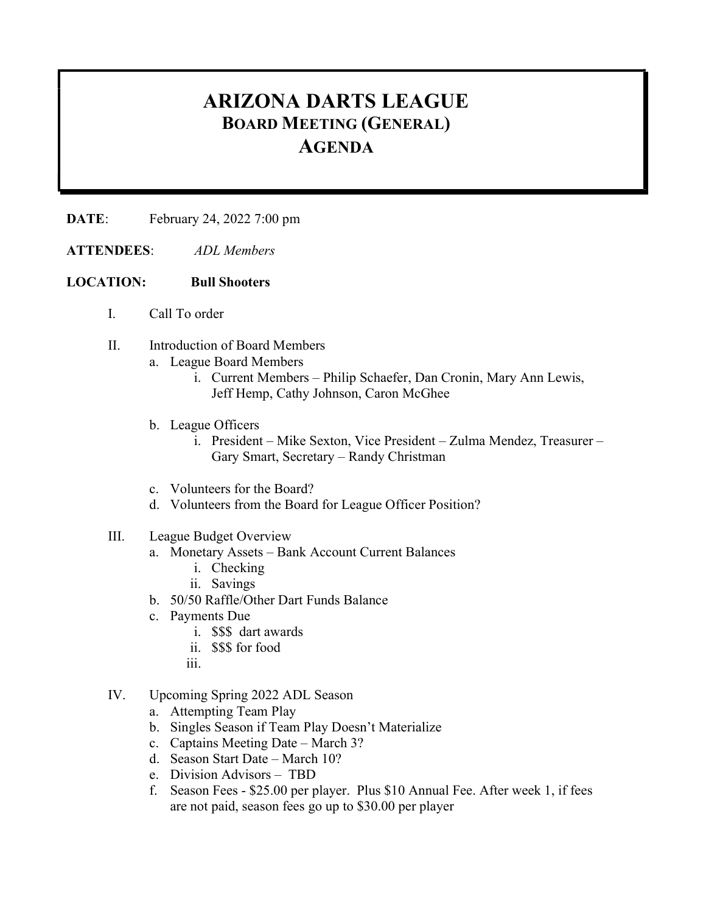## ARIZONA DARTS LEAGUE BOARD MEETING (GENERAL) **AGENDA**

DATE: February 24, 2022 7:00 pm

ATTENDEES: ADL Members

## LOCATION: Bull Shooters

- I. Call To order
- II. Introduction of Board Members
	- a. League Board Members
		- i. Current Members Philip Schaefer, Dan Cronin, Mary Ann Lewis, Jeff Hemp, Cathy Johnson, Caron McGhee
	- b. League Officers
		- i. President Mike Sexton, Vice President Zulma Mendez, Treasurer Gary Smart, Secretary – Randy Christman
	- c. Volunteers for the Board?
	- d. Volunteers from the Board for League Officer Position?
- III. League Budget Overview
	- a. Monetary Assets Bank Account Current Balances
		- i. Checking
		- ii. Savings
	- b. 50/50 Raffle/Other Dart Funds Balance
	- c. Payments Due
		- i. \$\$\$ dart awards
		- ii. \$\$\$ for food
		- iii.

## IV. Upcoming Spring 2022 ADL Season

- a. Attempting Team Play
- b. Singles Season if Team Play Doesn't Materialize
- c. Captains Meeting Date March 3?
- d. Season Start Date March 10?
- e. Division Advisors TBD
- f. Season Fees \$25.00 per player. Plus \$10 Annual Fee. After week 1, if fees are not paid, season fees go up to \$30.00 per player